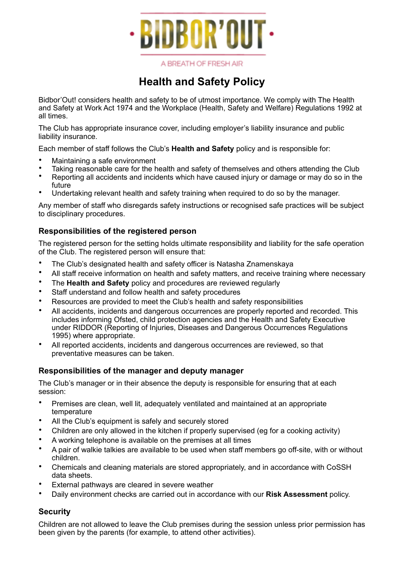

A BREATH OF FRESH AIR

# **Health and Safety Policy**

Bidbor'Out! considers health and safety to be of utmost importance. We comply with The Health and Safety at Work Act 1974 and the Workplace (Health, Safety and Welfare) Regulations 1992 at all times.

The Club has appropriate insurance cover, including employer's liability insurance and public liability insurance.

Each member of staff follows the Club's **Health and Safety** policy and is responsible for:

- Maintaining a safe environment
- Taking reasonable care for the health and safety of themselves and others attending the Club
- Reporting all accidents and incidents which have caused injury or damage or may do so in the future
- Undertaking relevant health and safety training when required to do so by the manager.

Any member of staff who disregards safety instructions or recognised safe practices will be subject to disciplinary procedures.

# **Responsibilities of the registered person**

The registered person for the setting holds ultimate responsibility and liability for the safe operation of the Club. The registered person will ensure that:

- The Club's designated health and safety officer is Natasha Znamenskaya
- All staff receive information on health and safety matters, and receive training where necessary
- The **Health and Safety** policy and procedures are reviewed regularly
- Staff understand and follow health and safety procedures
- Resources are provided to meet the Club's health and safety responsibilities
- All accidents, incidents and dangerous occurrences are properly reported and recorded. This includes informing Ofsted, child protection agencies and the Health and Safety Executive under RIDDOR (Reporting of Injuries, Diseases and Dangerous Occurrences Regulations 1995) where appropriate.
- All reported accidents, incidents and dangerous occurrences are reviewed, so that preventative measures can be taken.

## **Responsibilities of the manager and deputy manager**

The Club's manager or in their absence the deputy is responsible for ensuring that at each session:

- Premises are clean, well lit, adequately ventilated and maintained at an appropriate temperature
- All the Club's equipment is safely and securely stored
- Children are only allowed in the kitchen if properly supervised (eg for a cooking activity)
- A working telephone is available on the premises at all times
- A pair of walkie talkies are available to be used when staff members go off-site, with or without children.
- Chemicals and cleaning materials are stored appropriately, and in accordance with CoSSH data sheets.
- External pathways are cleared in severe weather
- Daily environment checks are carried out in accordance with our **Risk Assessment** policy.

# **Security**

Children are not allowed to leave the Club premises during the session unless prior permission has been given by the parents (for example, to attend other activities).